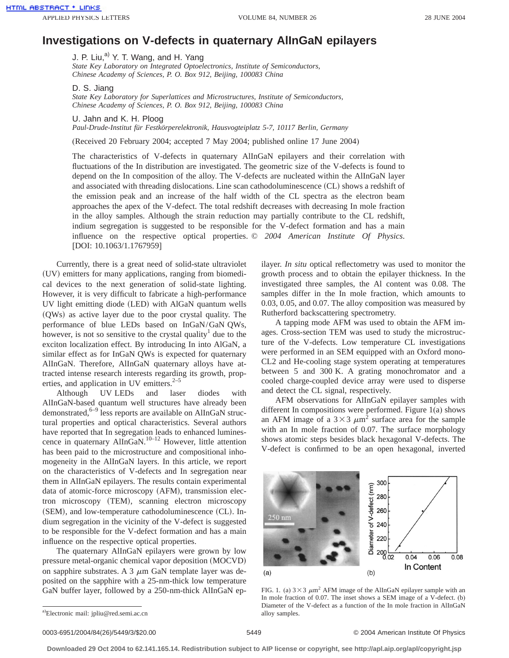## **Investigations on V-defects in quaternary AlInGaN epilayers**

J. P. Liu, $^{a}$  Y. T. Wang, and H. Yang *State Key Laboratory on Integrated Optoelectronics, Institute of Semiconductors, Chinese Academy of Sciences, P. O. Box 912, Beijing, 100083 China*

D. S. Jiang

*State Key Laboratory for Superlattices and Microstructures, Institute of Semiconductors, Chinese Academy of Sciences, P. O. Box 912, Beijing, 100083 China*

U. Jahn and K. H. Ploog

*Paul-Drude-Institut für Festkörperelektronik, Hausvogteiplatz 5-7, 10117 Berlin, Germany*

(Received 20 February 2004; accepted 7 May 2004; published online 17 June 2004)

The characteristics of V-defects in quaternary AlInGaN epilayers and their correlation with fluctuations of the In distribution are investigated. The geometric size of the V-defects is found to depend on the In composition of the alloy. The V-defects are nucleated within the AlInGaN layer and associated with threading dislocations. Line scan cathodoluminescence (CL) shows a redshift of the emission peak and an increase of the half width of the CL spectra as the electron beam approaches the apex of the V-defect. The total redshift decreases with decreasing In mole fraction in the alloy samples. Although the strain reduction may partially contribute to the CL redshift, indium segregation is suggested to be responsible for the V-defect formation and has a main influence on the respective optical properties. © *2004 American Institute Of Physics*. [DOI: 10.1063/1.1767959]

Currently, there is a great need of solid-state ultraviolet (UV) emitters for many applications, ranging from biomedical devices to the next generation of solid-state lighting. However, it is very difficult to fabricate a high-performance UV light emitting diode (LED) with AlGaN quantum wells  $(QWs)$  as active layer due to the poor crystal quality. The performance of blue LEDs based on InGaN/GaN QWs, however, is not so sensitive to the crystal quality<sup>1</sup> due to the exciton localization effect. By introducing In into AlGaN, a similar effect as for InGaN QWs is expected for quaternary AlInGaN. Therefore, AlInGaN quaternary alloys have attracted intense research interests regarding its growth, properties, and application in UV emitters. $2\frac{3}{5}$ 

Although UV LEDs and laser diodes with AlInGaN-based quantum well structures have already been demonstrated, $6-9$  less reports are available on AlInGaN structural properties and optical characteristics. Several authors have reported that In segregation leads to enhanced luminescence in quaternary AlInGaN.<sup>10–12</sup> However, little attention has been paid to the microstructure and compositional inhomogeneity in the AlInGaN layers. In this article, we report on the characteristics of V-defects and In segregation near them in AlInGaN epilayers. The results contain experimental data of atomic-force microscopy (AFM), transmission electron microscopy (TEM), scanning electron microscopy  $(SEM)$ , and low-temperature cathodoluminescence  $(CL)$ . Indium segregation in the vicinity of the V-defect is suggested to be responsible for the V-defect formation and has a main influence on the respective optical properties.

The quaternary AlInGaN epilayers were grown by low pressure metal-organic chemical vapor deposition (MOCVD) on sapphire substrates. A 3  $\mu$ m GaN template layer was deposited on the sapphire with a 25-nm-thick low temperature GaN buffer layer, followed by a 250-nm-thick AlInGaN epilayer. *In situ* optical reflectometry was used to monitor the growth process and to obtain the epilayer thickness. In the investigated three samples, the Al content was 0.08. The samples differ in the In mole fraction, which amounts to 0.03, 0.05, and 0.07. The alloy composition was measured by Rutherford backscattering spectrometry.

A tapping mode AFM was used to obtain the AFM images. Cross-section TEM was used to study the microstructure of the V-defects. Low temperature CL investigations were performed in an SEM equipped with an Oxford mono-CL2 and He-cooling stage system operating at temperatures between 5 and 300 K. A grating monochromator and a cooled charge-coupled device array were used to disperse and detect the CL signal, respectively.

AFM observations for AlInGaN epilayer samples with different In compositions were performed. Figure 1(a) shows an AFM image of a  $3 \times 3 \mu m^2$  surface area for the sample with an In mole fraction of 0.07. The surface morphology shows atomic steps besides black hexagonal V-defects. The V-defect is confirmed to be an open hexagonal, inverted



FIG. 1. (a)  $3 \times 3 \mu m^2$  AFM image of the AlInGaN epilayer sample with an In mole fraction of 0.07. The inset shows a SEM image of a V-defect. (b) Diameter of the V-defect as a function of the In mole fraction in AlInGaN alloy samples.

0003-6951/2004/84(26)/5449/3/\$20.00 © 2004 American Institute Of Physics 5449

**Downloaded 29 Oct 2004 to 62.141.165.14. Redistribution subject to AIP license or copyright, see http://apl.aip.org/apl/copyright.jsp**

a) Electronic mail: jpliu@red.semi.ac.cn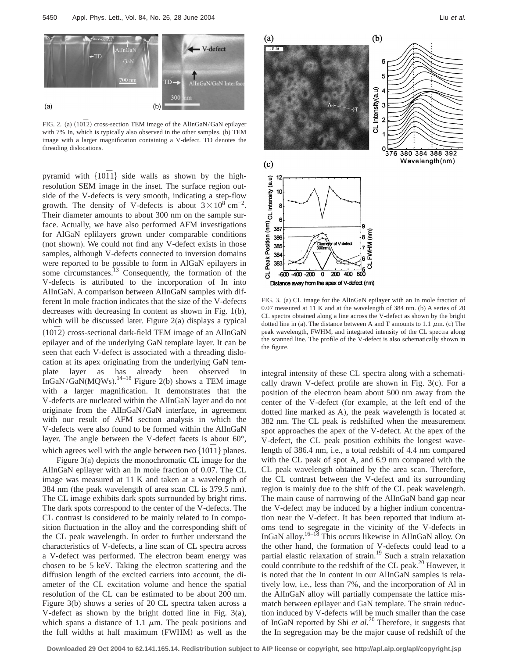

FIG. 2. (a) (10<sup>1</sup>2) cross-section TEM image of the AlInGaN/GaN epilayer with 7% In, which is typically also observed in the other samples. (b) TEM image with a larger magnification containing a V-defect. TD denotes the threading dislocations.

pyramid with  ${1011}$  side walls as shown by the highresolution SEM image in the inset. The surface region outside of the V-defects is very smooth, indicating a step-flow growth. The density of V-defects is about  $3 \times 10^8$  cm<sup>-2</sup>. Their diameter amounts to about 300 nm on the sample surface. Actually, we have also performed AFM investigations for AlGaN eplilayers grown under comparable conditions (not shown). We could not find any V-defect exists in those samples, although V-defects connected to inversion domains were reported to be possible to form in AlGaN epilayers in some circumstances.<sup>13</sup> Consequently, the formation of the V-defects is attributed to the incorporation of In into AlInGaN. A comparison between AlInGaN samples with different In mole fraction indicates that the size of the V-defects decreases with decreasing In content as shown in Fig. 1(b), which will be discussed later. Figure 2(a) displays a typical (1012) cross-sectional dark-field TEM image of an AlInGaN epilayer and of the underlying GaN template layer. It can be seen that each V-defect is associated with a threading dislocation at its apex originating from the underlying GaN template layer as has already been observed in InGaN/GaN(MQWs).<sup>14–18</sup> Figure 2(b) shows a TEM image with a larger magnification. It demonstrates that the V-defects are nucleated within the AlInGaN layer and do not originate from the AlInGaN/GaN interface, in agreement with our result of AFM section analysis in which the V-defects were also found to be formed within the AlInGaN layer. The angle between the V-defect facets is about 60°, which agrees well with the angle between two  $\{1011\}$  planes.

Figure 3(a) depicts the monochromatic CL image for the AlInGaN epilayer with an In mole fraction of 0.07. The CL image was measured at 11 K and taken at a wavelength of 384 nm (the peak wavelength of area scan CL is 379.5 nm). The CL image exhibits dark spots surrounded by bright rims. The dark spots correspond to the center of the V-defects. The CL contrast is considered to be mainly related to In composition fluctuation in the alloy and the corresponding shift of the CL peak wavelength. In order to further understand the characteristics of V-defects, a line scan of CL spectra across a V-defect was performed. The electron beam energy was chosen to be 5 keV. Taking the electron scattering and the diffusion length of the excited carriers into account, the diameter of the CL excitation volume and hence the spatial resolution of the CL can be estimated to be about 200 nm. Figure 3(b) shows a series of 20 CL spectra taken across a V-defect as shown by the bright dotted line in Fig. 3(a), which spans a distance of 1.1  $\mu$ m. The peak positions and the full widths at half maximum (FWHM) as well as the



FIG. 3. (a) CL image for the AlInGaN epilayer with an In mole fraction of 0.07 measured at 11 K and at the wavelength of 384 nm. (b) A series of 20 CL spectra obtained along a line across the V-defect as shown by the bright dotted line in (a). The distance between A and T amounts to 1.1  $\mu$ m. (c) The peak wavelength, FWHM, and integrated intensity of the CL spectra along the scanned line. The profile of the V-defect is also schematically shown in the figure.

integral intensity of these CL spectra along with a schematically drawn V-defect profile are shown in Fig. 3(c). For a position of the electron beam about 500 nm away from the center of the V-defect (for example, at the left end of the dotted line marked as A), the peak wavelength is located at 382 nm. The CL peak is redshifted when the measurement spot approaches the apex of the V-defect. At the apex of the V-defect, the CL peak position exhibits the longest wavelength of 386.4 nm, i.e., a total redshift of 4.4 nm compared with the CL peak of spot A, and 6.9 nm compared with the CL peak wavelength obtained by the area scan. Therefore, the CL contrast between the V-defect and its surrounding region is mainly due to the shift of the CL peak wavelength. The main cause of narrowing of the AlInGaN band gap near the V-defect may be induced by a higher indium concentration near the V-defect. It has been reported that indium atoms tend to segregate in the vicinity of the V-defects in InGaN alloy.16–18 This occurs likewise in AlInGaN alloy. On the other hand, the formation of V-defects could lead to a partial elastic relaxation of strain.<sup>19</sup> Such a strain relaxation could contribute to the redshift of the CL peak. $^{20}$  However, it is noted that the In content in our AlInGaN samples is relatively low, i.e., less than 7%, and the incorporation of Al in the AlInGaN alloy will partially compensate the lattice mismatch between epilayer and GaN template. The strain reduction induced by V-defects will be much smaller than the case of InGaN reported by Shi *et al.*<sup>20</sup> Therefore, it suggests that the In segregation may be the major cause of redshift of the